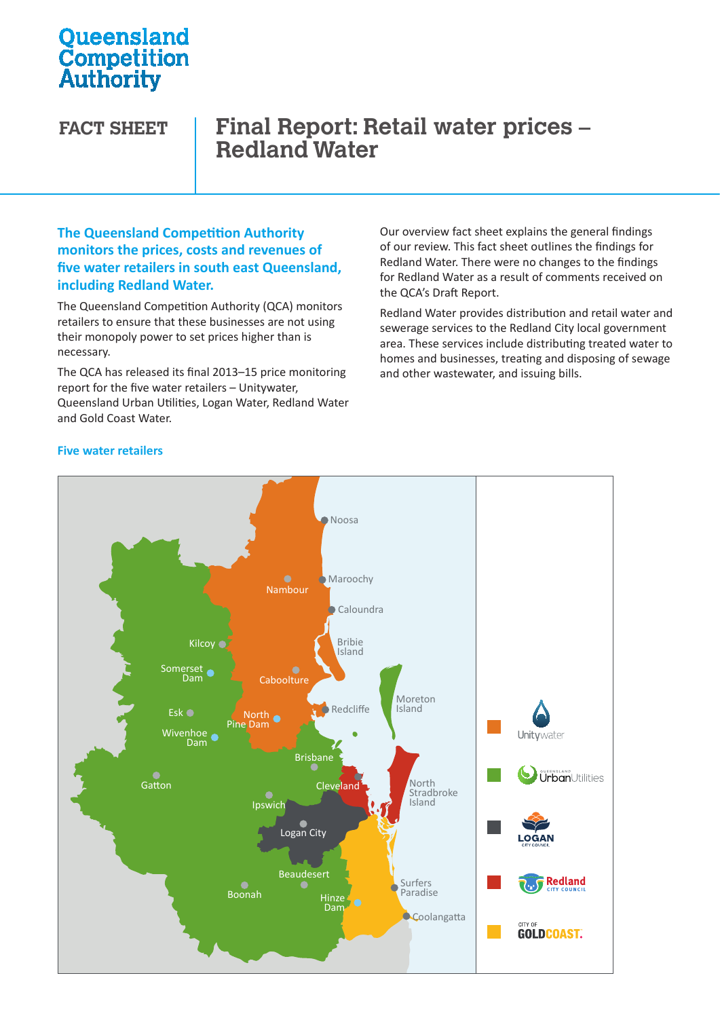# **Oueensland Competition**<br>Authority

## **FACT SHEET Final Report: Retail water prices – Redland Water**

## **The Queensland Competition Authority monitors the prices, costs and revenues of five water retailers in south east Queensland, including Redland Water.**

The Queensland Competition Authority (QCA) monitors retailers to ensure that these businesses are not using their monopoly power to set prices higher than is necessary.

The QCA has released its final 2013–15 price monitoring report for the five water retailers – Unitywater, Queensland Urban Utilities, Logan Water, Redland Water Urban Utilities Water Water and Gold Coast Water.

Our overview fact sheet explains the general findings of our review. This fact sheet outlines the findings for Redland Water. There were no changes to the findings for Redland Water as a result of comments received on the QCA's Draft Report.

Redland Water provides distribution and retail water and sewerage services to the Redland City local government area. These services include distributing treated water to homes and businesses, treating and disposing of sewage and other wastewater, and issuing bills.

### **Five water retailers**